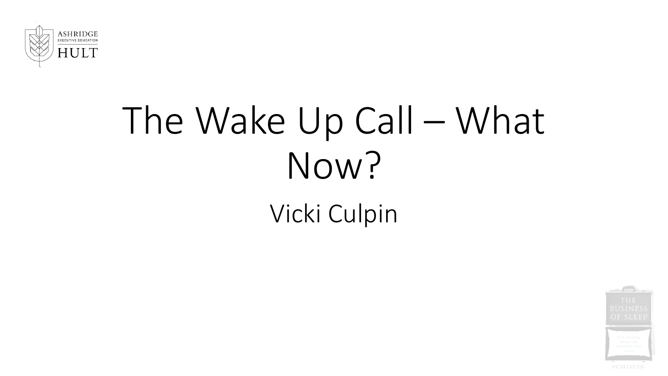

## The Wake Up Call – What Now?

Vicki Culpin

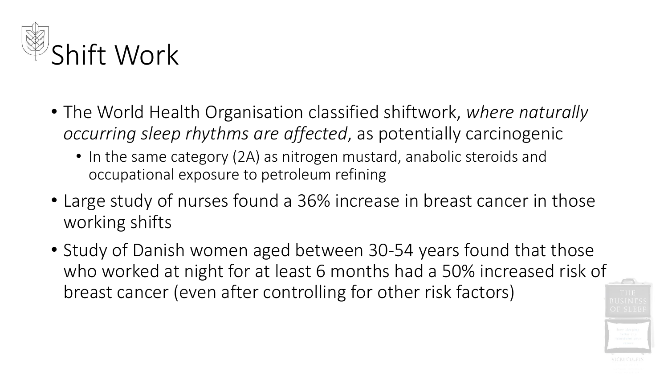

- The World Health Organisation classified shiftwork, *where naturally occurring sleep rhythms are affected*, as potentially carcinogenic
	- In the same category (2A) as nitrogen mustard, anabolic steroids and occupational exposure to petroleum refining
- Large study of nurses found a 36% increase in breast cancer in those working shifts
- Study of Danish women aged between 30-54 years found that those who worked at night for at least 6 months had a 50% increased risk of breast cancer (even after controlling for other risk factors)

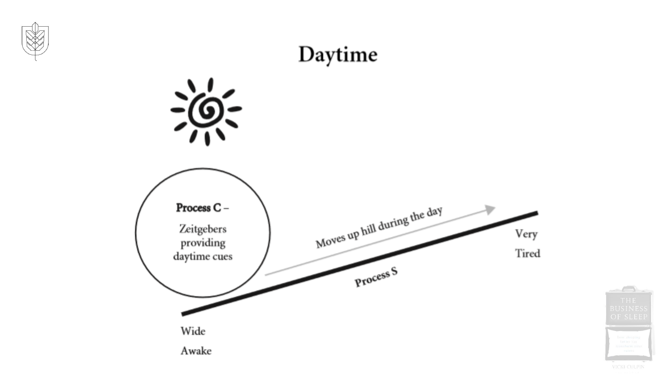



VICKI CULPIN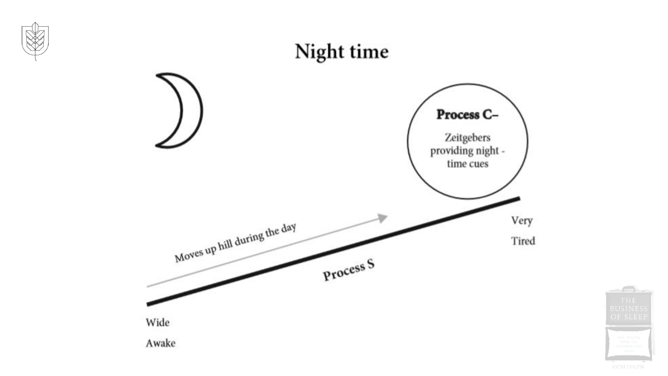

VICKI CULPIN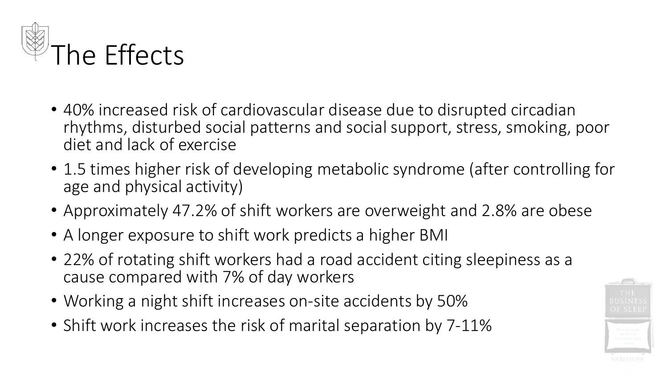

- 40% increased risk of cardiovascular disease due to disrupted circadian rhythms, disturbed social patterns and social support, stress, smoking, poor diet and lack of exercise
- 1.5 times higher risk of developing metabolic syndrome (after controlling for age and physical activity)
- Approximately 47.2% of shift workers are overweight and 2.8% are obese
- A longer exposure to shift work predicts a higher BMI
- 22% of rotating shift workers had a road accident citing sleepiness as a cause compared with 7% of day workers
- Working a night shift increases on-site accidents by 50%
- Shift work increases the risk of marital separation by 7-11%

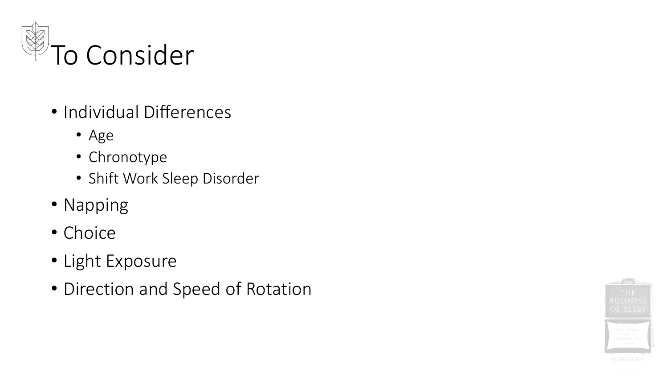

- Individual Differences
	- Age
	- Chronotype
	- Shift Work Sleep Disorder
- Napping
- Choice
- Light Exposure
- Direction and Speed of Rotation

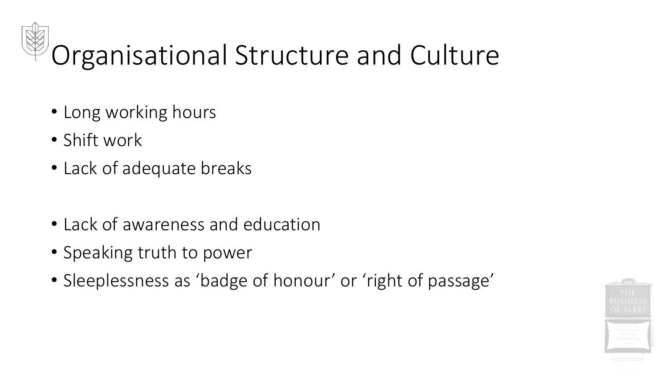## Organisational Structure and Culture

- Long working hours
- Shift work
- Lack of adequate breaks
- Lack of awareness and education
- Speaking truth to power
- Sleeplessness as 'badge of honour' or 'right of passage'

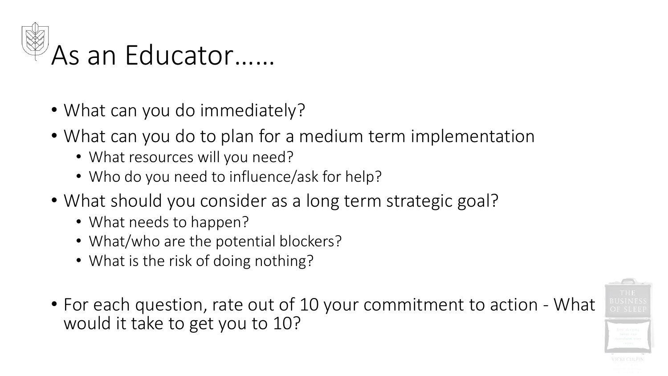

- What can you do immediately?
- What can you do to plan for a medium term implementation
	- What resources will you need?
	- Who do you need to influence/ask for help?
- What should you consider as a long term strategic goal?
	- What needs to happen?
	- What/who are the potential blockers?
	- What is the risk of doing nothing?
- For each question, rate out of 10 your commitment to action What would it take to get you to 10?